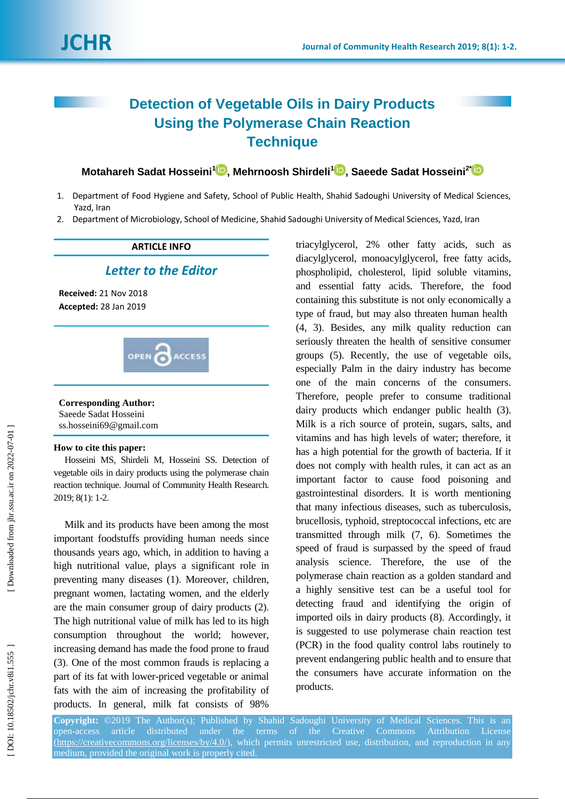# **Detection of Vegetable Oils in Dairy Products Using the Polymerase Chain Reaction Technique**

**Motahareh Sadat Hosseini<sup>1</sup> D[,](https://orcid.org/0000-0002-3361-3941) Mehrnoosh Shirdeli<sup>1</sup> D, Saeede Sadat Hosseini<sup>2</sup>** 

- 1. Department of Food Hygiene and Safety, School of Public Health, Shahid Sadoughi University of Medical Sciences, Yazd, Iran
- 2. Department of Microbiology, School of Medicine, Shahid Sadoughi University of Medical Sciences, Yazd, Iran

## **ARTICLE INFO**

## *Letter to the Editor*

**Received:** 21 Nov 201 8 **Accepted:** 28 Jan 201 9



### **Corresponding Author:**

Saeede Sadat Hosseini ss.hosseini69@gmail.com

#### **How to cite this paper:**

Hosseini MS, Shirdeli M, Hosseini SS. Detection of vegetable oils in dairy products using the polymerase chain reaction technique . Journal of Community Health Research. 2019; 8(1): 1-2.

Milk and its products have been among the most important foodstuffs providing human needs since thousands years ago, which, in addition to having a high nutritional value, plays a significant role in preventing many diseases (1) . Moreover, children, pregnant women, lactating women, and the elderly are the main consumer group of dairy products (2) . The high nutritional value of milk has led to its high consumption throughout the world; however, increasing demand has made the food prone to fraud (3) . One of the most common frauds is replacing a part of its fat with lower -priced vegetable or animal fats with the aim of increasing the profitability of products. In general, milk fat consists of 98%

triacylglycerol, 2% other fatty acids, such as diacylglycerol, monoacylglycerol, free fatty acids, phospholipid, cholesterol, lipid soluble vitamins , and essential fatty acids. Therefore, the food containing this substitute is not only economically a type of fraud, but may also threaten human health (4, 3) . Besides, any milk quality reduction can seriously threaten the health of sensitive consumer groups (5). Recently, the use of vegetable oils, especially Palm in the dairy industry has become one of the main concerns of the consumers. Therefore, people prefer to consume traditional dairy products which endanger public health (3). Milk is a rich source of protein, sugars, salts , and vitamins and has high levels of water; therefore, it has a high potential for the growth of bacteria. If it does not comply with health rules, it can act as an important factor to cause food poisoning and gastrointestinal disorders. It is worth mentioning that many infectious diseases, such as tuberculosis, brucellosis, typhoid, streptococcal infections, etc are transmitted through milk ( 7, 6 ) . Sometimes the speed of fraud is surpassed by the speed of fraud analysis science. Therefore, the use of the polymerase chain reaction as a golden standard and a highly sensitive test can be a useful tool for detecting fraud and identifying the origin of imported oils in dairy products ( 8 ) . Accordingly, it is suggested to use polymerase chain reaction test (PCR) in the food quality control labs routinely to prevent endangering public health and to ensure that the consumers have accurate information on the products.

**Copyright:** ©201 9 The Author(s); Published by Shahid Sadoughi University of Medical Sciences. This is an open -access article distributed under the terms of the Creative Commons Attribution License [\(https://creativecommons.org/licenses/by/4.0/\)](https://creativecommons.org/licenses/by/4.0/), which permits unrestricted use, distribution, and reproduction in any medium, provided the original work is properly cited.